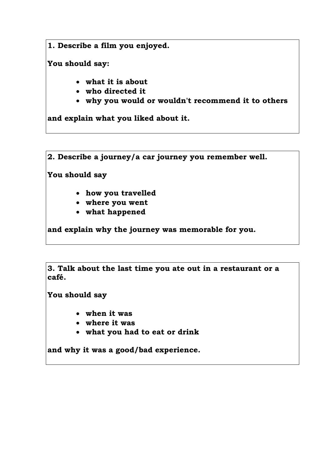**1. Describe a film you enjoyed.**

**You should say:**

- **what it is about**
- **who directed it**
- **why you would or wouldn't recommend it to others**

**and explain what you liked about it.**

**2. Describe a journey/a car journey you remember well.**

**You should say**

- **how you travelled**
- **where you went**
- **what happened**

**and explain why the journey was memorable for you.**

**3. Talk about the last time you ate out in a restaurant or a café.**

**You should say**

- **when it was**
- **where it was**
- **what you had to eat or drink**

**and why it was a good/bad experience.**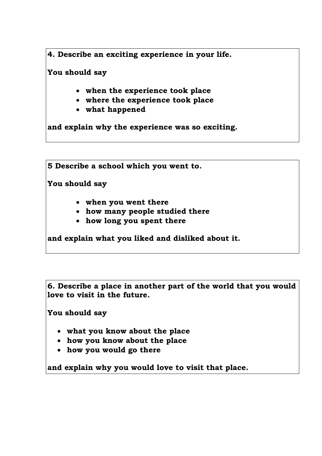**4. Describe an exciting experience in your life.**

**You should say**

- **when the experience took place**
- **where the experience took place**
- **what happened**

**and explain why the experience was so exciting.**

**5 Describe a school which you went to.**

**You should say**

- **when you went there**
- **how many people studied there**
- **how long you spent there**

**and explain what you liked and disliked about it.**

**6. Describe a place in another part of the world that you would love to visit in the future.**

**You should say**

- **what you know about the place**
- **how you know about the place**
- **how you would go there**

**and explain why you would love to visit that place.**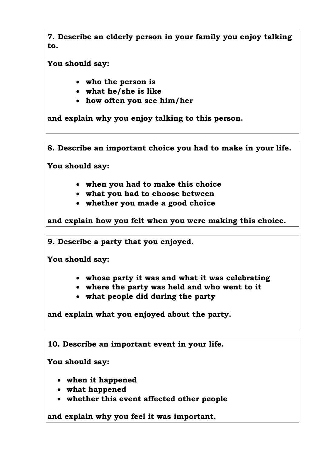**7. Describe an elderly person in your family you enjoy talking to.**

**You should say:**

- **who the person is**
- **what he/she is like**
- **how often you see him/her**

**and explain why you enjoy talking to this person.**

**8. Describe an important choice you had to make in your life.**

**You should say:**

- **when you had to make this choice**
- **what you had to choose between**
- **whether you made a good choice**

**and explain how you felt when you were making this choice.**

**9. Describe a party that you enjoyed.**

**You should say:**

- **whose party it was and what it was celebrating**
- **where the party was held and who went to it**
- **what people did during the party**

**and explain what you enjoyed about the party.**

**10. Describe an important event in your life.**

**You should say:**

- **when it happened**
- **what happened**
- **whether this event affected other people**

**and explain why you feel it was important.**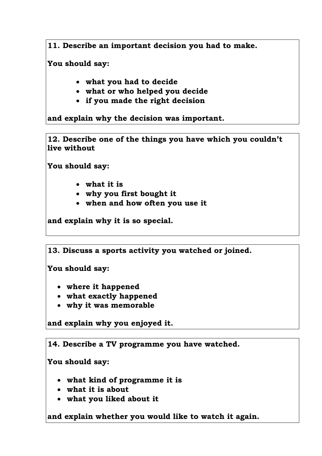**11. Describe an important decision you had to make.**

**You should say:**

- **what you had to decide**
- **what or who helped you decide**
- **if you made the right decision**

**and explain why the decision was important.**

**12. Describe one of the things you have which you couldn't live without**

**You should say:**

- **what it is**
- **why you first bought it**
- **when and how often you use it**

**and explain why it is so special.**

**13. Discuss a sports activity you watched or joined.**

**You should say:**

- **where it happened**
- **what exactly happened**
- **why it was memorable**

**and explain why you enjoyed it.**

**14. Describe a TV programme you have watched.** 

**You should say:**

- **what kind of programme it is**
- **what it is about**
- **what you liked about it**

**and explain whether you would like to watch it again.**